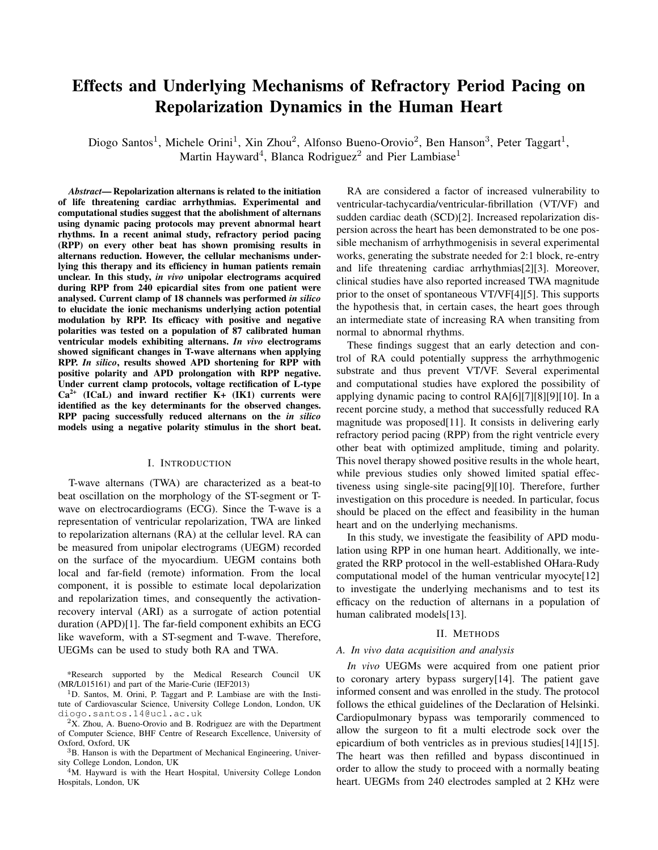# Effects and Underlying Mechanisms of Refractory Period Pacing on Repolarization Dynamics in the Human Heart

Diogo Santos<sup>1</sup>, Michele Orini<sup>1</sup>, Xin Zhou<sup>2</sup>, Alfonso Bueno-Orovio<sup>2</sup>, Ben Hanson<sup>3</sup>, Peter Taggart<sup>1</sup>, Martin Hayward<sup>4</sup>, Blanca Rodriguez<sup>2</sup> and Pier Lambiase<sup>1</sup>

*Abstract*— Repolarization alternans is related to the initiation of life threatening cardiac arrhythmias. Experimental and computational studies suggest that the abolishment of alternans using dynamic pacing protocols may prevent abnormal heart rhythms. In a recent animal study, refractory period pacing (RPP) on every other beat has shown promising results in alternans reduction. However, the cellular mechanisms underlying this therapy and its efficiency in human patients remain unclear. In this study, *in vivo* unipolar electrograms acquired during RPP from 240 epicardial sites from one patient were analysed. Current clamp of 18 channels was performed *in silico* to elucidate the ionic mechanisms underlying action potential modulation by RPP. Its efficacy with positive and negative polarities was tested on a population of 87 calibrated human ventricular models exhibiting alternans. *In vivo* electrograms showed significant changes in T-wave alternans when applying RPP. *In silico*, results showed APD shortening for RPP with positive polarity and APD prolongation with RPP negative. Under current clamp protocols, voltage rectification of L-type  $Ca<sup>2+</sup>$  (ICaL) and inward rectifier K+ (IK1) currents were identified as the key determinants for the observed changes. RPP pacing successfully reduced alternans on the *in silico* models using a negative polarity stimulus in the short beat.

### I. INTRODUCTION

T-wave alternans (TWA) are characterized as a beat-to beat oscillation on the morphology of the ST-segment or Twave on electrocardiograms (ECG). Since the T-wave is a representation of ventricular repolarization, TWA are linked to repolarization alternans (RA) at the cellular level. RA can be measured from unipolar electrograms (UEGM) recorded on the surface of the myocardium. UEGM contains both local and far-field (remote) information. From the local component, it is possible to estimate local depolarization and repolarization times, and consequently the activationrecovery interval (ARI) as a surrogate of action potential duration (APD)[1]. The far-field component exhibits an ECG like waveform, with a ST-segment and T-wave. Therefore, UEGMs can be used to study both RA and TWA.

\*Research supported by the Medical Research Council UK (MR/L015161) and part of the Marie-Curie (IEF2013)

<sup>1</sup>D. Santos, M. Orini, P. Taggart and P. Lambiase are with the Institute of Cardiovascular Science, University College London, London, UK diogo.santos.14@ucl.ac.uk

 $2X$ . Zhou, A. Bueno-Orovio and B. Rodriguez are with the Department of Computer Science, BHF Centre of Research Excellence, University of Oxford, Oxford, UK

<sup>3</sup>B. Hanson is with the Department of Mechanical Engineering, University College London, London, UK

<sup>4</sup>M. Hayward is with the Heart Hospital, University College London Hospitals, London, UK

RA are considered a factor of increased vulnerability to ventricular-tachycardia/ventricular-fibrillation (VT/VF) and sudden cardiac death (SCD)[2]. Increased repolarization dispersion across the heart has been demonstrated to be one possible mechanism of arrhythmogenisis in several experimental works, generating the substrate needed for 2:1 block, re-entry and life threatening cardiac arrhythmias[2][3]. Moreover, clinical studies have also reported increased TWA magnitude prior to the onset of spontaneous VT/VF[4][5]. This supports the hypothesis that, in certain cases, the heart goes through an intermediate state of increasing RA when transiting from normal to abnormal rhythms.

These findings suggest that an early detection and control of RA could potentially suppress the arrhythmogenic substrate and thus prevent VT/VF. Several experimental and computational studies have explored the possibility of applying dynamic pacing to control RA[6][7][8][9][10]. In a recent porcine study, a method that successfully reduced RA magnitude was proposed[11]. It consists in delivering early refractory period pacing (RPP) from the right ventricle every other beat with optimized amplitude, timing and polarity. This novel therapy showed positive results in the whole heart, while previous studies only showed limited spatial effectiveness using single-site pacing[9][10]. Therefore, further investigation on this procedure is needed. In particular, focus should be placed on the effect and feasibility in the human heart and on the underlying mechanisms.

In this study, we investigate the feasibility of APD modulation using RPP in one human heart. Additionally, we integrated the RRP protocol in the well-established OHara-Rudy computational model of the human ventricular myocyte[12] to investigate the underlying mechanisms and to test its efficacy on the reduction of alternans in a population of human calibrated models[13].

#### II. METHODS

### *A. In vivo data acquisition and analysis*

*In vivo* UEGMs were acquired from one patient prior to coronary artery bypass surgery[14]. The patient gave informed consent and was enrolled in the study. The protocol follows the ethical guidelines of the Declaration of Helsinki. Cardiopulmonary bypass was temporarily commenced to allow the surgeon to fit a multi electrode sock over the epicardium of both ventricles as in previous studies[14][15]. The heart was then refilled and bypass discontinued in order to allow the study to proceed with a normally beating heart. UEGMs from 240 electrodes sampled at 2 KHz were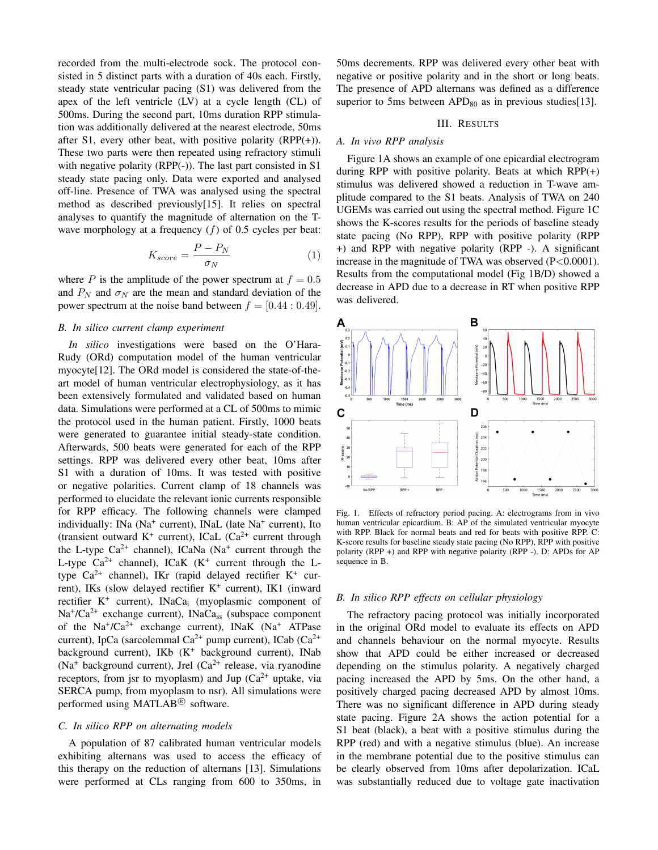recorded from the multi-electrode sock. The protocol consisted in 5 distinct parts with a duration of 40s each. Firstly, steady state ventricular pacing (S1) was delivered from the apex of the left ventricle (LV) at a cycle length (CL) of 500ms. During the second part, 10ms duration RPP stimulation was additionally delivered at the nearest electrode, 50ms after S1, every other beat, with positive polarity  $(RPP(+))$ . These two parts were then repeated using refractory stimuli with negative polarity (RPP(-)). The last part consisted in S1 steady state pacing only. Data were exported and analysed off-line. Presence of TWA was analysed using the spectral method as described previously[15]. It relies on spectral analyses to quantify the magnitude of alternation on the Twave morphology at a frequency  $(f)$  of 0.5 cycles per beat:

$$
K_{score} = \frac{P - P_N}{\sigma_N} \tag{1}
$$

where P is the amplitude of the power spectrum at  $f = 0.5$ and  $P_N$  and  $\sigma_N$  are the mean and standard deviation of the power spectrum at the noise band between  $f = [0.44 : 0.49]$ .

#### *B. In silico current clamp experiment*

*In silico* investigations were based on the O'Hara-Rudy (ORd) computation model of the human ventricular myocyte[12]. The ORd model is considered the state-of-theart model of human ventricular electrophysiology, as it has been extensively formulated and validated based on human data. Simulations were performed at a CL of 500ms to mimic the protocol used in the human patient. Firstly, 1000 beats were generated to guarantee initial steady-state condition. Afterwards, 500 beats were generated for each of the RPP settings. RPP was delivered every other beat, 10ms after S1 with a duration of 10ms. It was tested with positive or negative polarities. Current clamp of 18 channels was performed to elucidate the relevant ionic currents responsible for RPP efficacy. The following channels were clamped individually: INa (Na<sup>+</sup> current), INaL (late Na<sup>+</sup> current), Ito (transient outward  $K^+$  current), ICaL (Ca<sup>2+</sup> current through the L-type  $Ca^{2+}$  channel), ICaNa (Na<sup>+</sup> current through the L-type  $Ca^{2+}$  channel), ICaK (K<sup>+</sup> current through the Ltype  $Ca^{2+}$  channel), IKr (rapid delayed rectifier K<sup>+</sup> current), IKs (slow delayed rectifier K<sup>+</sup> current), IK1 (inward rectifier K<sup>+</sup> current), INaCa<sub>i</sub> (myoplasmic component of Na<sup>+</sup>/Ca<sup>2+</sup> exchange current), INaCa<sub>ss</sub> (subspace component of the Na<sup>+</sup>/Ca<sup>2+</sup> exchange current), INaK (Na<sup>+</sup> ATPase current), IpCa (sarcolemmal Ca<sup>2+</sup> pump current), ICab (Ca<sup>2+</sup> background current), IKb  $(K^+$  background current), INab (Na<sup>+</sup> background current), Jrel (Ca<sup>2+</sup> release, via ryanodine receptors, from jsr to myoplasm) and Jup  $(Ca^{2+}$  uptake, via SERCA pump, from myoplasm to nsr). All simulations were performed using MATLAB<sup>®</sup> software.

# *C. In silico RPP on alternating models*

A population of 87 calibrated human ventricular models exhibiting alternans was used to access the efficacy of this therapy on the reduction of alternans [13]. Simulations were performed at CLs ranging from 600 to 350ms, in 50ms decrements. RPP was delivered every other beat with negative or positive polarity and in the short or long beats. The presence of APD alternans was defined as a difference superior to 5ms between  $APD_{80}$  as in previous studies [13].

## III. RESULTS

# *A. In vivo RPP analysis*

Figure 1A shows an example of one epicardial electrogram during RPP with positive polarity. Beats at which RPP(+) stimulus was delivered showed a reduction in T-wave amplitude compared to the S1 beats. Analysis of TWA on 240 UGEMs was carried out using the spectral method. Figure 1C shows the K-scores results for the periods of baseline steady state pacing (No RPP), RPP with positive polarity (RPP +) and RPP with negative polarity (RPP -). A significant increase in the magnitude of TWA was observed  $(P<0.0001)$ . Results from the computational model (Fig 1B/D) showed a decrease in APD due to a decrease in RT when positive RPP was delivered.



Fig. 1. Effects of refractory period pacing. A: electrograms from in vivo human ventricular epicardium. B: AP of the simulated ventricular myocyte with RPP. Black for normal beats and red for beats with positive RPP. C: K-score results for baseline steady state pacing (No RPP), RPP with positive polarity (RPP +) and RPP with negative polarity (RPP -). D: APDs for AP sequence in B.

## *B. In silico RPP effects on cellular physiology*

The refractory pacing protocol was initially incorporated in the original ORd model to evaluate its effects on APD and channels behaviour on the normal myocyte. Results show that APD could be either increased or decreased depending on the stimulus polarity. A negatively charged pacing increased the APD by 5ms. On the other hand, a positively charged pacing decreased APD by almost 10ms. There was no significant difference in APD during steady state pacing. Figure 2A shows the action potential for a S1 beat (black), a beat with a positive stimulus during the RPP (red) and with a negative stimulus (blue). An increase in the membrane potential due to the positive stimulus can be clearly observed from 10ms after depolarization. ICaL was substantially reduced due to voltage gate inactivation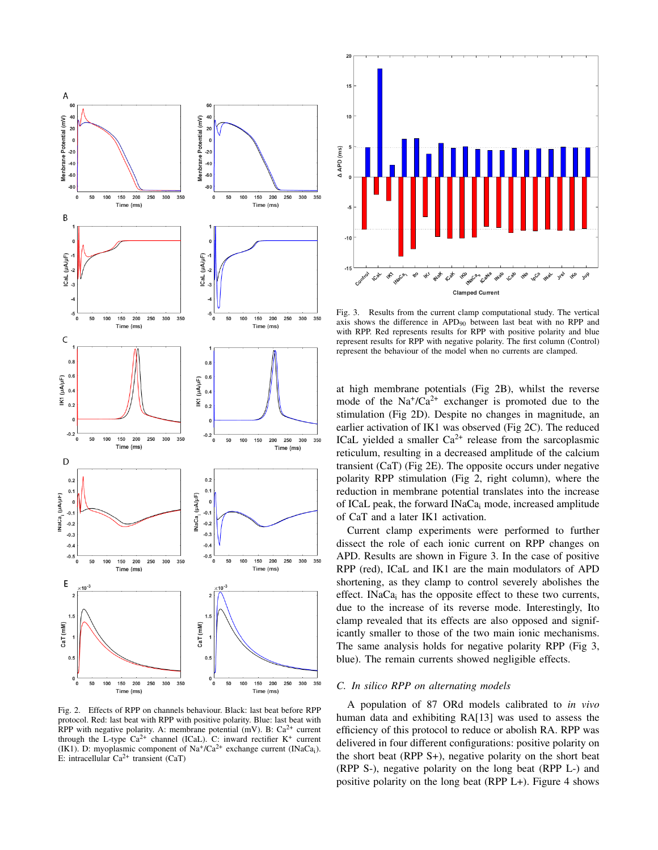

Fig. 2. Effects of RPP on channels behaviour. Black: last beat before RPP protocol. Red: last beat with RPP with positive polarity. Blue: last beat with RPP with negative polarity. A: membrane potential (mV). B:  $Ca^{2+}$  current through the L-type  $Ca^{2+}$  channel (ICaL). C: inward rectifier  $K^+$  current (IK1). D: myoplasmic component of  $\text{Na}^+/ \text{Ca}^{2+}$  exchange current (INaCa<sub>i</sub>). E: intracellular  $Ca^{2+}$  transient (CaT)



Fig. 3. Results from the current clamp computational study. The vertical axis shows the difference in APD<sup>90</sup> between last beat with no RPP and with RPP. Red represents results for RPP with positive polarity and blue represent results for RPP with negative polarity. The first column (Control) represent the behaviour of the model when no currents are clamped.

at high membrane potentials (Fig 2B), whilst the reverse mode of the  $Na^+/Ca^{2+}$  exchanger is promoted due to the stimulation (Fig 2D). Despite no changes in magnitude, an earlier activation of IK1 was observed (Fig 2C). The reduced ICaL yielded a smaller  $Ca^{2+}$  release from the sarcoplasmic reticulum, resulting in a decreased amplitude of the calcium transient (CaT) (Fig 2E). The opposite occurs under negative polarity RPP stimulation (Fig 2, right column), where the reduction in membrane potential translates into the increase of ICaL peak, the forward INaCa<sup>i</sup> mode, increased amplitude of CaT and a later IK1 activation.

Current clamp experiments were performed to further dissect the role of each ionic current on RPP changes on APD. Results are shown in Figure 3. In the case of positive RPP (red), ICaL and IK1 are the main modulators of APD shortening, as they clamp to control severely abolishes the effect. INaCa<sub>i</sub> has the opposite effect to these two currents, due to the increase of its reverse mode. Interestingly, Ito clamp revealed that its effects are also opposed and significantly smaller to those of the two main ionic mechanisms. The same analysis holds for negative polarity RPP (Fig 3, blue). The remain currents showed negligible effects.

# *C. In silico RPP on alternating models*

A population of 87 ORd models calibrated to *in vivo* human data and exhibiting RA[13] was used to assess the efficiency of this protocol to reduce or abolish RA. RPP was delivered in four different configurations: positive polarity on the short beat (RPP S+), negative polarity on the short beat (RPP S-), negative polarity on the long beat (RPP L-) and positive polarity on the long beat (RPP L+). Figure 4 shows